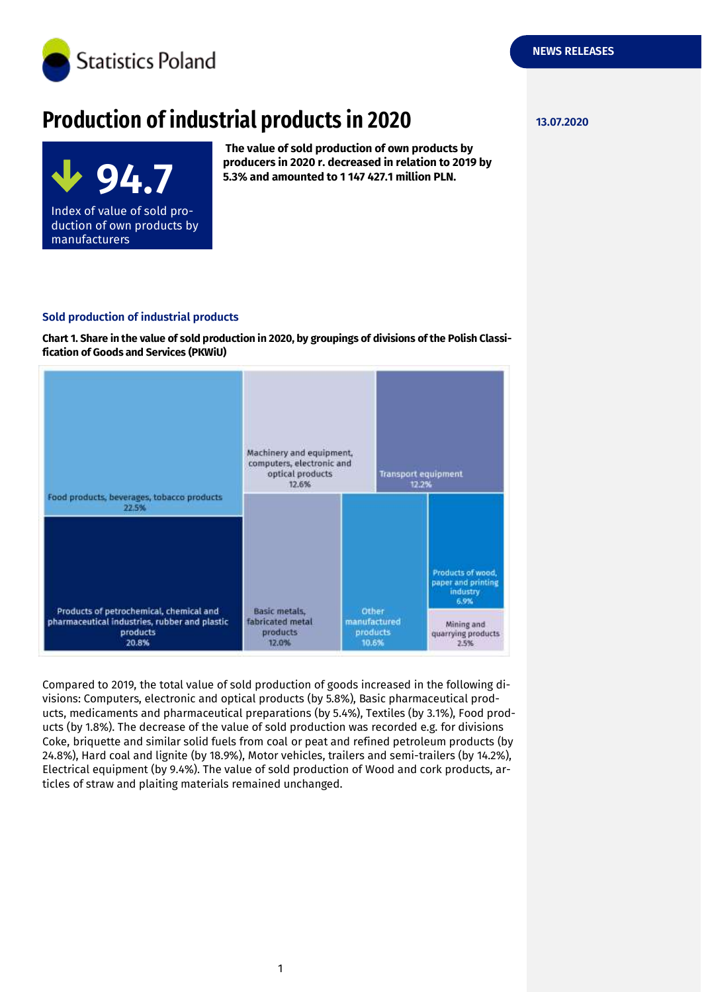

# **Production of industrial products in 2020 13.07.2020**



**The value of sold production of own products by producers in 2020 r. decreased in relation to 2019 by 5.3% and amounted to 1 147 427.1 million PLN.**

#### **Sold production of industrial products**

**Chart 1. Share in the value of sold production in 2020, by groupings of divisions of the Polish Classification of Goods and Services (PKWiU)**



Compared to 2019, the total value of sold production of goods increased in the following divisions: Computers, electronic and optical products (by 5.8%), Basic pharmaceutical products, medicaments and pharmaceutical preparations (by 5.4%), Textiles (by 3.1%), Food products (by 1.8%). The decrease of the value of sold production was recorded e.g. for divisions Coke, briquette and similar solid fuels from coal or peat and refined petroleum products (by 24.8%), Hard coal and lignite (by 18.9%), Motor vehicles, trailers and semi-trailers (by 14.2%), Electrical equipment (by 9.4%). The value of sold production of Wood and cork products, articles of straw and plaiting materials remained unchanged.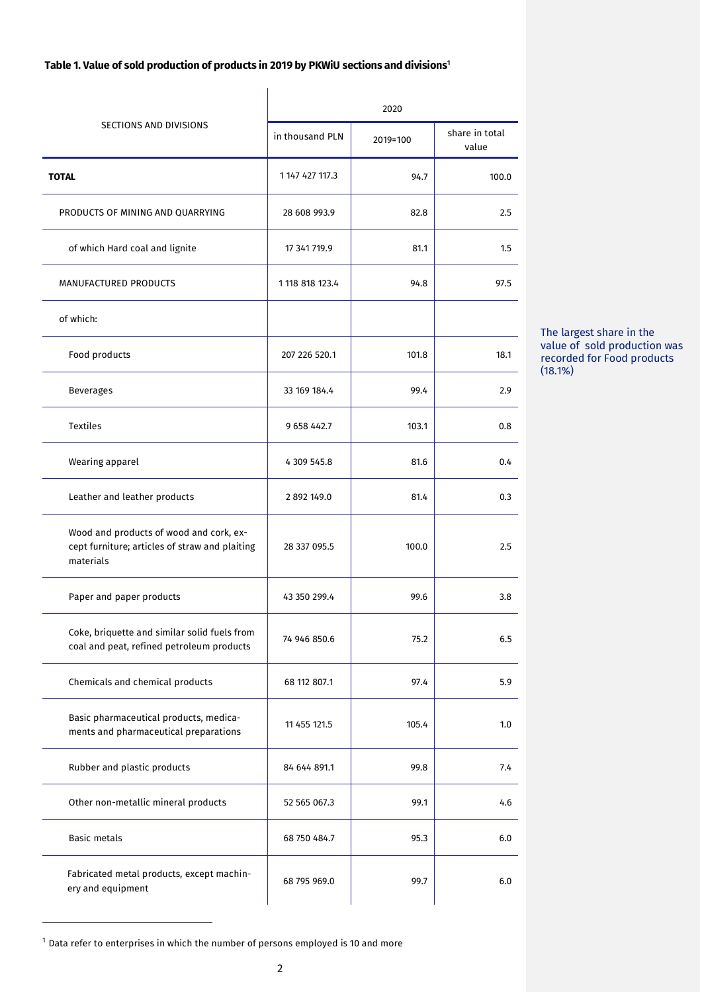## **Table 1. Value of sold production of products in 2019 by PKWiU sections and divisions<sup>1</sup>**

|                                                                                                        | 2020            |          |                         |
|--------------------------------------------------------------------------------------------------------|-----------------|----------|-------------------------|
| SECTIONS AND DIVISIONS                                                                                 | in thousand PLN | 2019=100 | share in total<br>value |
| <b>TOTAL</b>                                                                                           | 1 147 427 117.3 | 94.7     | 100.0                   |
| PRODUCTS OF MINING AND QUARRYING                                                                       | 28 608 993.9    | 82.8     | 2.5                     |
| of which Hard coal and lignite                                                                         | 17 341 719.9    | 81.1     | 1.5                     |
| MANUFACTURED PRODUCTS                                                                                  | 1 118 818 123.4 | 94.8     | 97.5                    |
| of which:                                                                                              |                 |          |                         |
| Food products                                                                                          | 207 226 520.1   | 101.8    | 18.1                    |
| <b>Beverages</b>                                                                                       | 33 169 184.4    | 99.4     | 2.9                     |
| <b>Textiles</b>                                                                                        | 9 658 442.7     | 103.1    | 0.8                     |
| Wearing apparel                                                                                        | 4 309 545.8     | 81.6     | 0.4                     |
| Leather and leather products                                                                           | 2 892 149.0     | 81.4     | 0.3                     |
| Wood and products of wood and cork, ex-<br>cept furniture; articles of straw and plaiting<br>materials | 28 337 095.5    | 100.0    | 2.5                     |
| Paper and paper products                                                                               | 43 350 299.4    | 99.6     | 3.8                     |
| Coke, briquette and similar solid fuels from<br>coal and peat, refined petroleum products              | 74 946 850.6    | 75.2     | 6.5                     |
| Chemicals and chemical products                                                                        | 68 112 807.1    | 97.4     | 5.9                     |
| Basic pharmaceutical products, medica-<br>ments and pharmaceutical preparations                        | 11 455 121.5    | 105.4    | 1.0                     |
| Rubber and plastic products                                                                            | 84 644 891.1    | 99.8     | 7.4                     |
| Other non-metallic mineral products                                                                    | 52 565 067.3    | 99.1     | 4.6                     |
| <b>Basic metals</b>                                                                                    | 68 750 484.7    | 95.3     | 6.0                     |
| Fabricated metal products, except machin-<br>ery and equipment                                         | 68 795 969.0    | 99.7     | 6.0                     |

The largest share in the value of sold production was recorded for Food products (18.1%)

-

 $1$  Data refer to enterprises in which the number of persons employed is 10 and more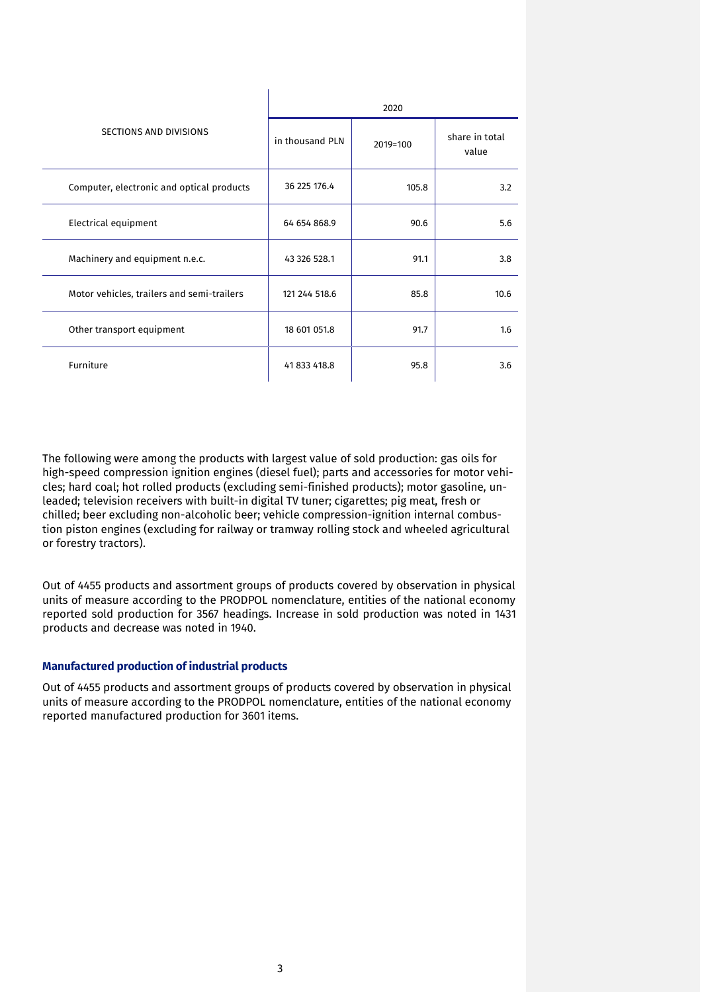|                                            | 2020            |          |                         |
|--------------------------------------------|-----------------|----------|-------------------------|
| SECTIONS AND DIVISIONS                     | in thousand PLN | 2019=100 | share in total<br>value |
| Computer, electronic and optical products  | 36 225 176.4    | 105.8    | 3.2                     |
| Electrical equipment                       | 64 654 868.9    | 90.6     | 5.6                     |
| Machinery and equipment n.e.c.             | 43 326 528.1    | 91.1     | 3.8                     |
| Motor vehicles, trailers and semi-trailers | 121 244 518.6   | 85.8     | 10.6                    |
| Other transport equipment                  | 18 601 051.8    | 91.7     | 1.6                     |
| Furniture                                  | 41 833 418.8    | 95.8     | 3.6                     |

The following were among the products with largest value of sold production: gas oils for high-speed compression ignition engines (diesel fuel); parts and accessories for motor vehicles; hard coal; hot rolled products (excluding semi-finished products); motor gasoline, unleaded; television receivers with built-in digital TV tuner; cigarettes; pig meat, fresh or chilled; beer excluding non-alcoholic beer; vehicle compression-ignition internal combustion piston engines (excluding for railway or tramway rolling stock and wheeled agricultural or forestry tractors).

Out of 4455 products and assortment groups of products covered by observation in physical units of measure according to the PRODPOL nomenclature, entities of the national economy reported sold production for 3567 headings. Increase in sold production was noted in 1431 products and decrease was noted in 1940.

#### **Manufactured production of industrial products**

Out of 4455 products and assortment groups of products covered by observation in physical units of measure according to the PRODPOL nomenclature, entities of the national economy reported manufactured production for 3601 items.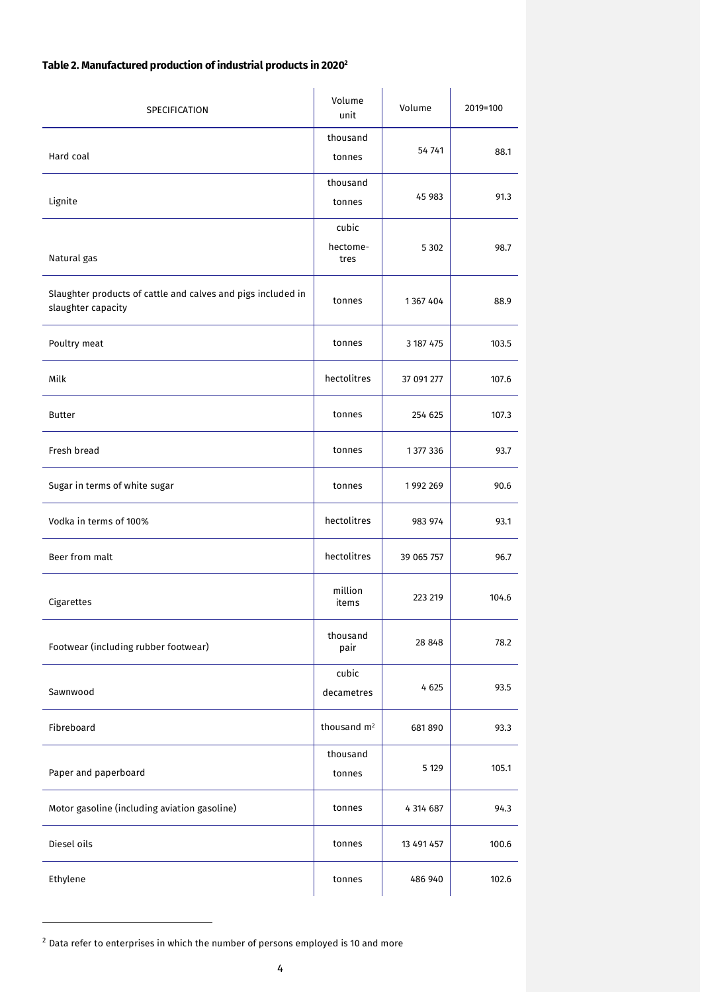## **Table 2. Manufactured production of industrial products in 2020<sup>2</sup>**

| SPECIFICATION                                                                      | Volume<br>unit            | Volume     | 2019=100 |
|------------------------------------------------------------------------------------|---------------------------|------------|----------|
| Hard coal                                                                          | thousand<br>tonnes        | 54 741     | 88.1     |
| Lignite                                                                            | thousand<br>tonnes        | 45 983     | 91.3     |
| Natural gas                                                                        | cubic<br>hectome-<br>tres | 5 3 0 2    | 98.7     |
| Slaughter products of cattle and calves and pigs included in<br>slaughter capacity | tonnes                    | 1 367 404  | 88.9     |
| Poultry meat                                                                       | tonnes                    | 3 187 475  | 103.5    |
| Milk                                                                               | hectolitres               | 37 091 277 | 107.6    |
| <b>Butter</b>                                                                      | tonnes                    | 254 625    | 107.3    |
| Fresh bread                                                                        | tonnes                    | 1377336    | 93.7     |
| Sugar in terms of white sugar                                                      | tonnes                    | 1992 269   | 90.6     |
| Vodka in terms of 100%                                                             | hectolitres               | 983 974    | 93.1     |
| Beer from malt                                                                     | hectolitres               | 39 065 757 | 96.7     |
| Cigarettes                                                                         | million<br>items          | 223 219    | 104.6    |
| Footwear (including rubber footwear)                                               | thousand<br>pair          | 28 848     | 78.2     |
| Sawnwood                                                                           | cubic<br>decametres       | 4 6 2 5    | 93.5     |
| Fibreboard                                                                         | thousand m <sup>2</sup>   | 681890     | 93.3     |
| Paper and paperboard                                                               | thousand<br>tonnes        | 5 1 2 9    | 105.1    |
| Motor gasoline (including aviation gasoline)                                       | tonnes                    | 4 314 687  | 94.3     |
| Diesel oils                                                                        | tonnes                    | 13 491 457 | 100.6    |
| Ethylene                                                                           | tonnes                    | 486 940    | 102.6    |

 $^{2}$  Data refer to enterprises in which the number of persons employed is 10 and more

 $\overline{\phantom{a}}$ 

-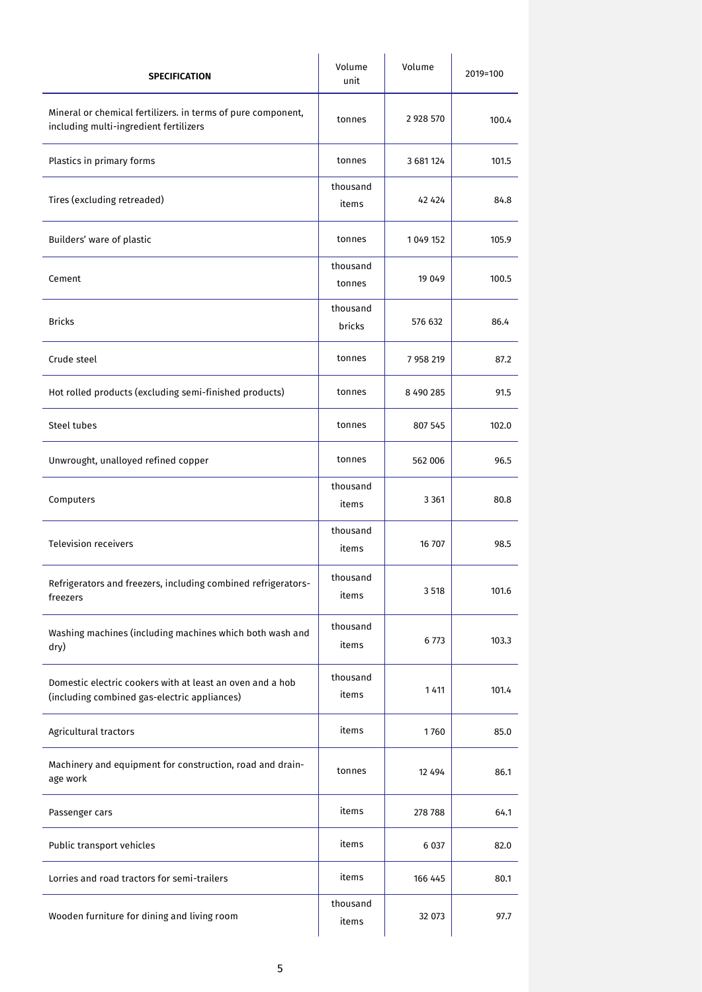| <b>SPECIFICATION</b>                                                                                      | Volume<br>unit     | Volume    | 2019=100 |
|-----------------------------------------------------------------------------------------------------------|--------------------|-----------|----------|
| Mineral or chemical fertilizers. in terms of pure component,<br>including multi-ingredient fertilizers    | tonnes             | 2 928 570 | 100.4    |
| Plastics in primary forms                                                                                 | tonnes             | 3 681 124 | 101.5    |
| Tires (excluding retreaded)                                                                               | thousand<br>items  | 42 4 2 4  | 84.8     |
| Builders' ware of plastic                                                                                 | tonnes             | 1049 152  | 105.9    |
| Cement                                                                                                    | thousand<br>tonnes | 19 04 9   | 100.5    |
| <b>Bricks</b>                                                                                             | thousand<br>bricks | 576 632   | 86.4     |
| Crude steel                                                                                               | tonnes             | 7 958 219 | 87.2     |
| Hot rolled products (excluding semi-finished products)                                                    | tonnes             | 8 490 285 | 91.5     |
| Steel tubes                                                                                               | tonnes             | 807 545   | 102.0    |
| Unwrought, unalloyed refined copper                                                                       | tonnes             | 562 006   | 96.5     |
| Computers                                                                                                 | thousand<br>items  | 3 3 6 1   | 80.8     |
| <b>Television receivers</b>                                                                               | thousand<br>items  | 16 707    | 98.5     |
| Refrigerators and freezers, including combined refrigerators<br>freezers                                  | thousand<br>items  | 3 5 18    | 101.6    |
| Washing machines (including machines which both wash and<br>dry)                                          | thousand<br>items  | 6 773     | 103.3    |
| Domestic electric cookers with at least an oven and a hob<br>(including combined gas-electric appliances) | thousand<br>items  | 1411      | 101.4    |
| Agricultural tractors                                                                                     | items              | 1760      | 85.0     |
| Machinery and equipment for construction, road and drain-<br>age work                                     | tonnes             | 12 494    | 86.1     |
| Passenger cars                                                                                            | items              | 278788    | 64.1     |
| Public transport vehicles                                                                                 | items              | 6 0 37    | 82.0     |
| Lorries and road tractors for semi-trailers                                                               | items              | 166 445   | 80.1     |
| Wooden furniture for dining and living room                                                               | thousand<br>items  | 32 073    | 97.7     |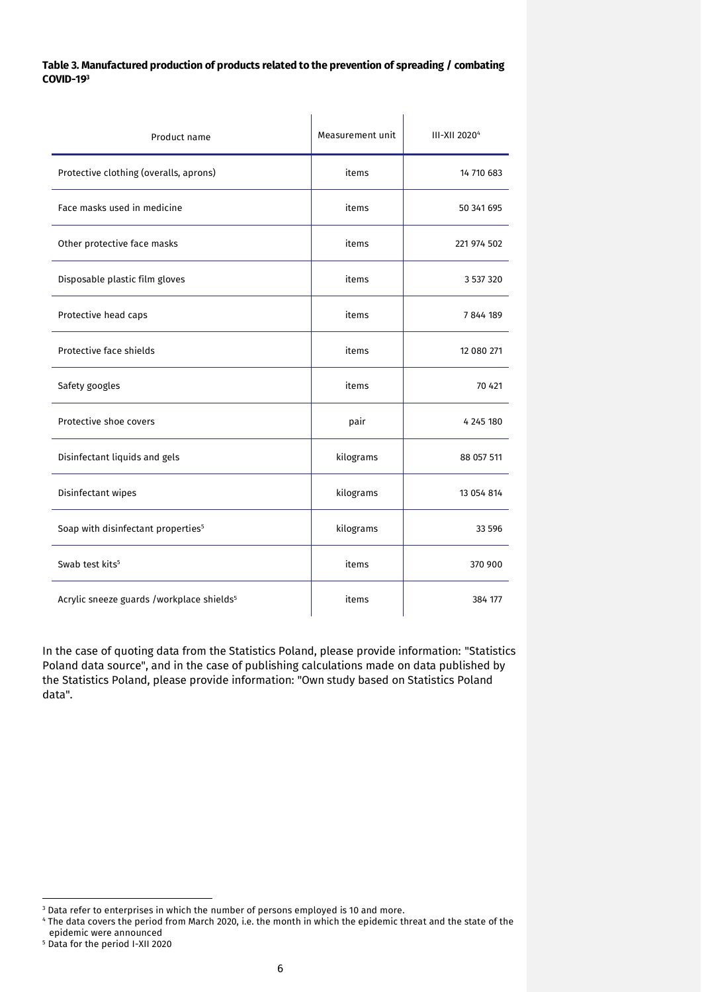#### **Table 3. Manufactured production of products related to the prevention of spreading / combating COVID-19<sup>3</sup>**

| Product name                                          | Measurement unit | III-XII 2020 <sup>4</sup> |
|-------------------------------------------------------|------------------|---------------------------|
| Protective clothing (overalls, aprons)                | items            | 14 710 683                |
| Face masks used in medicine                           | items            | 50 341 695                |
| Other protective face masks                           | items            | 221 974 502               |
| Disposable plastic film gloves                        | items            | 3 537 320                 |
| Protective head caps                                  | items            | 7844189                   |
| Protective face shields                               | items            | 12 080 271                |
| Safety googles                                        | items            | 70 421                    |
| Protective shoe covers                                | pair             | 4 245 180                 |
| Disinfectant liquids and gels                         | kilograms        | 88 057 511                |
| Disinfectant wipes                                    | kilograms        | 13 054 814                |
| Soap with disinfectant properties <sup>5</sup>        | kilograms        | 33 596                    |
| Swab test kits <sup>5</sup>                           | items            | 370 900                   |
| Acrylic sneeze guards /workplace shields <sup>5</sup> | items            | 384 177                   |

<span id="page-5-0"></span>In the case of quoting data from the Statistics Poland, please provide information: "Statistics Poland data source", and in the case of publishing calculations made on data published by the Statistics Poland, please provide information: "Own study based on Statistics Poland data".

-

 $^{\rm 3}$  Data refer to enterprises in which the number of persons employed is 10 and more.

<sup>4</sup> The data covers the period from March 2020, i.e. the month in which the epidemic threat and the state of the epidemic were announced

<sup>5</sup> Data for the period I-XII 2020